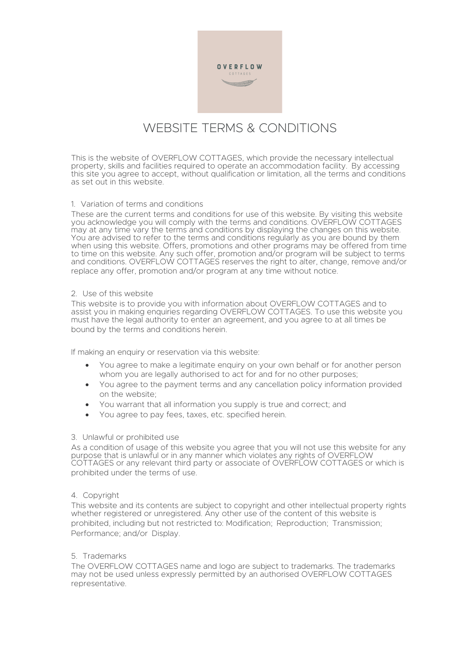

# WEBSITE TERMS & CONDITIONS

This is the website of OVERFLOW COTTAGES, which provide the necessary intellectual property, skills and facilities required to operate an accommodation facility. By accessing this site you agree to accept, without qualification or limitation, all the terms and conditions as set out in this website.

## 1. Variation of terms and conditions

These are the current terms and conditions for use of this website. By visiting this website you acknowledge you will comply with the terms and conditions. OVERFLOW COTTAGES may at any time vary the terms and conditions by displaying the changes on this website. You are advised to refer to the terms and conditions regularly as you are bound by them when using this website. Offers, promotions and other programs may be offered from time to time on this website. Any such offer, promotion and/or program will be subject to terms and conditions. OVERFLOW COTTAGES reserves the right to alter, change, remove and/or replace any offer, promotion and/or program at any time without notice.

# 2. Use of this website

This website is to provide you with information about OVERFLOW COTTAGES and to assist you in making enquiries regarding OVERFLOW COTTAGES. To use this website you must have the legal authority to enter an agreement, and you agree to at all times be bound by the terms and conditions herein.

If making an enquiry or reservation via this website:

- You agree to make a legitimate enquiry on your own behalf or for another person whom you are legally authorised to act for and for no other purposes;
- You agree to the payment terms and any cancellation policy information provided on the website;
- You warrant that all information you supply is true and correct; and
- You agree to pay fees, taxes, etc. specified herein.

#### 3. Unlawful or prohibited use

As a condition of usage of this website you agree that you will not use this website for any purpose that is unlawful or in any manner which violates any rights of OVERFLOW COTTAGES or any relevant third party or associate of OVERFLOW COTTAGES or which is prohibited under the terms of use.

#### 4. Copyright

This website and its contents are subject to copyright and other intellectual property rights whether registered or unregistered. Any other use of the content of this website is prohibited, including but not restricted to: Modification; Reproduction; Transmission; Performance; and/or Display.

### 5. Trademarks

The OVERFLOW COTTAGES name and logo are subject to trademarks. The trademarks may not be used unless expressly permitted by an authorised OVERFLOW COTTAGES representative.